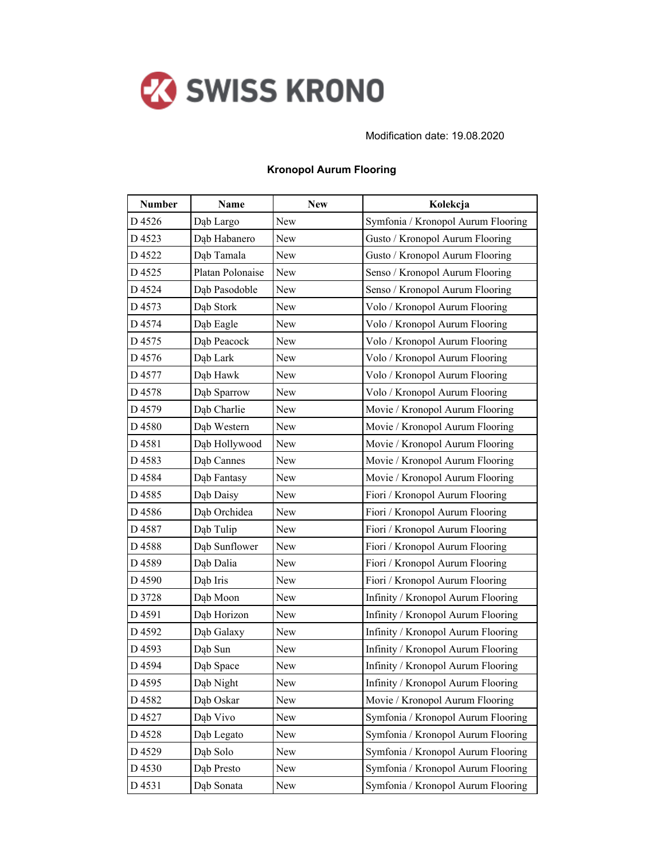

Modification date: 19.08.2020

| <b>Number</b> | <b>Name</b>      | <b>New</b> | Kolekcja                           |
|---------------|------------------|------------|------------------------------------|
| D4526         | Dąb Largo        | New        | Symfonia / Kronopol Aurum Flooring |
| D 4523        | Dąb Habanero     | New        | Gusto / Kronopol Aurum Flooring    |
| D4522         | Dąb Tamala       | New        | Gusto / Kronopol Aurum Flooring    |
| D4525         | Platan Polonaise | New        | Senso / Kronopol Aurum Flooring    |
| D4524         | Dąb Pasodoble    | New        | Senso / Kronopol Aurum Flooring    |
| D 4573        | Dąb Stork        | New        | Volo / Kronopol Aurum Flooring     |
| D4574         | Dąb Eagle        | New        | Volo / Kronopol Aurum Flooring     |
| D4575         | Dąb Peacock      | New        | Volo / Kronopol Aurum Flooring     |
| D4576         | Dąb Lark         | New        | Volo / Kronopol Aurum Flooring     |
| D4577         | Dab Hawk         | New        | Volo / Kronopol Aurum Flooring     |
| D4578         | Dąb Sparrow      | New        | Volo / Kronopol Aurum Flooring     |
| D4579         | Dąb Charlie      | New        | Movie / Kronopol Aurum Flooring    |
| D4580         | Dab Western      | New        | Movie / Kronopol Aurum Flooring    |
| D 4581        | Dąb Hollywood    | New        | Movie / Kronopol Aurum Flooring    |
| D4583         | Dab Cannes       | New        | Movie / Kronopol Aurum Flooring    |
| D4584         | Dąb Fantasy      | New        | Movie / Kronopol Aurum Flooring    |
| D4585         | Dąb Daisy        | New        | Fiori / Kronopol Aurum Flooring    |
| D4586         | Dab Orchidea     | New        | Fiori / Kronopol Aurum Flooring    |
| D4587         | Dąb Tulip        | New        | Fiori / Kronopol Aurum Flooring    |
| D4588         | Dąb Sunflower    | New        | Fiori / Kronopol Aurum Flooring    |
| D4589         | Dąb Dalia        | New        | Fiori / Kronopol Aurum Flooring    |
| D4590         | Dąb Iris         | New        | Fiori / Kronopol Aurum Flooring    |
| D 3728        | Dąb Moon         | New        | Infinity / Kronopol Aurum Flooring |
| D 4591        | Dąb Horizon      | New        | Infinity / Kronopol Aurum Flooring |
| D 4592        | Dąb Galaxy       | New        | Infinity / Kronopol Aurum Flooring |
| D 4593        | Dąb Sun          | New        | Infinity / Kronopol Aurum Flooring |
| D 4594        | Dąb Space        | New        | Infinity / Kronopol Aurum Flooring |
| D4595         | Dąb Night        | New        | Infinity / Kronopol Aurum Flooring |
| D4582         | Dąb Oskar        | New        | Movie / Kronopol Aurum Flooring    |
| D 4527        | Dąb Vivo         | New        | Symfonia / Kronopol Aurum Flooring |
| D4528         | Dąb Legato       | New        | Symfonia / Kronopol Aurum Flooring |
| D4529         | Dąb Solo         | New        | Symfonia / Kronopol Aurum Flooring |
| D4530         | Dab Presto       | New        | Symfonia / Kronopol Aurum Flooring |
| D4531         | Dąb Sonata       | New        | Symfonia / Kronopol Aurum Flooring |

## **Kronopol Aurum Flooring**